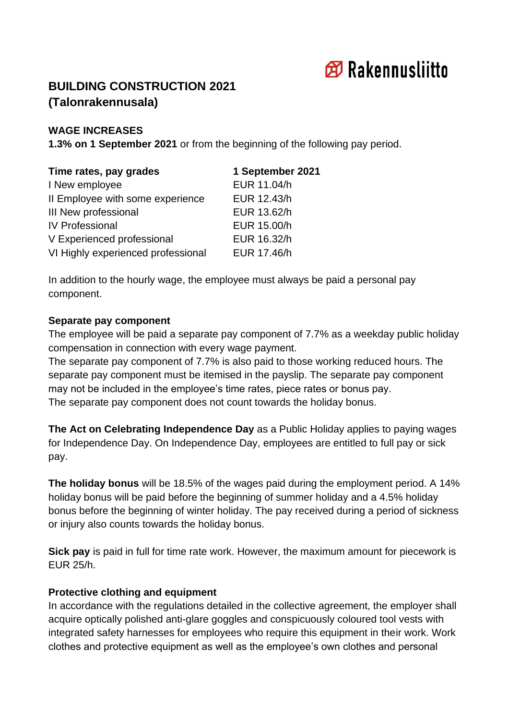

# **BUILDING CONSTRUCTION 2021 (Talonrakennusala)**

#### **WAGE INCREASES**

**1.3% on 1 September 2021** or from the beginning of the following pay period.

| Time rates, pay grades             | 1 September 2021 |
|------------------------------------|------------------|
| I New employee                     | EUR 11.04/h      |
| Il Employee with some experience   | EUR 12.43/h      |
| III New professional               | EUR 13.62/h      |
| <b>IV Professional</b>             | EUR 15.00/h      |
| V Experienced professional         | EUR 16.32/h      |
| VI Highly experienced professional | EUR 17.46/h      |

In addition to the hourly wage, the employee must always be paid a personal pay component.

#### **Separate pay component**

The employee will be paid a separate pay component of 7.7% as a weekday public holiday compensation in connection with every wage payment.

The separate pay component of 7.7% is also paid to those working reduced hours. The separate pay component must be itemised in the payslip. The separate pay component may not be included in the employee's time rates, piece rates or bonus pay. The separate pay component does not count towards the holiday bonus.

**The Act on Celebrating Independence Day** as a Public Holiday applies to paying wages for Independence Day. On Independence Day, employees are entitled to full pay or sick pay.

**The holiday bonus** will be 18.5% of the wages paid during the employment period. A 14% holiday bonus will be paid before the beginning of summer holiday and a 4.5% holiday bonus before the beginning of winter holiday. The pay received during a period of sickness or injury also counts towards the holiday bonus.

**Sick pay** is paid in full for time rate work. However, the maximum amount for piecework is EUR 25/h.

### **Protective clothing and equipment**

In accordance with the regulations detailed in the collective agreement, the employer shall acquire optically polished anti-glare goggles and conspicuously coloured tool vests with integrated safety harnesses for employees who require this equipment in their work. Work clothes and protective equipment as well as the employee's own clothes and personal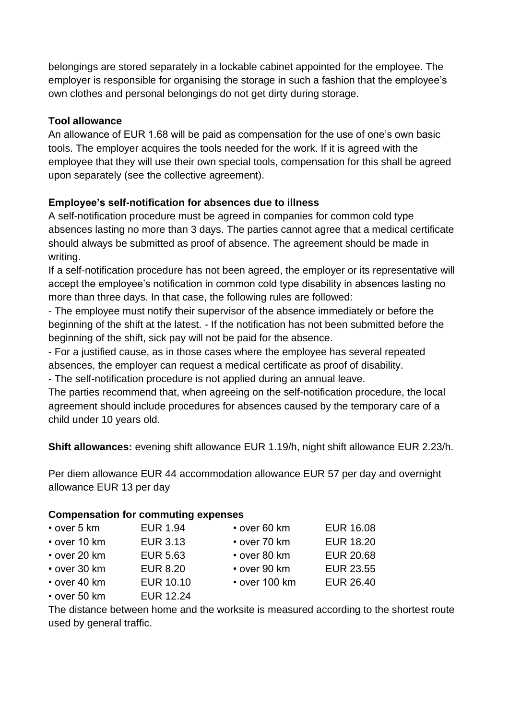belongings are stored separately in a lockable cabinet appointed for the employee. The employer is responsible for organising the storage in such a fashion that the employee's own clothes and personal belongings do not get dirty during storage.

# **Tool allowance**

An allowance of EUR 1.68 will be paid as compensation for the use of one's own basic tools. The employer acquires the tools needed for the work. If it is agreed with the employee that they will use their own special tools, compensation for this shall be agreed upon separately (see the collective agreement).

# **Employee's self-notification for absences due to illness**

A self-notification procedure must be agreed in companies for common cold type absences lasting no more than 3 days. The parties cannot agree that a medical certificate should always be submitted as proof of absence. The agreement should be made in writing.

If a self-notification procedure has not been agreed, the employer or its representative will accept the employee's notification in common cold type disability in absences lasting no more than three days. In that case, the following rules are followed:

- The employee must notify their supervisor of the absence immediately or before the beginning of the shift at the latest. - If the notification has not been submitted before the beginning of the shift, sick pay will not be paid for the absence.

- For a justified cause, as in those cases where the employee has several repeated absences, the employer can request a medical certificate as proof of disability.

- The self-notification procedure is not applied during an annual leave.

The parties recommend that, when agreeing on the self-notification procedure, the local agreement should include procedures for absences caused by the temporary care of a child under 10 years old.

**Shift allowances:** evening shift allowance EUR 1.19/h, night shift allowance EUR 2.23/h.

Per diem allowance EUR 44 accommodation allowance EUR 57 per day and overnight allowance EUR 13 per day

### **Compensation for commuting expenses**

| $\cdot$ over 5 km                                                                                                                                                                                                                                                                                                                                                                    | <b>EUR 1.94</b> | $\cdot$ over 60 km  | <b>EUR 16.08</b> |
|--------------------------------------------------------------------------------------------------------------------------------------------------------------------------------------------------------------------------------------------------------------------------------------------------------------------------------------------------------------------------------------|-----------------|---------------------|------------------|
| $\cdot$ over 10 km                                                                                                                                                                                                                                                                                                                                                                   | <b>EUR 3.13</b> | $\cdot$ over 70 km  | <b>EUR 18.20</b> |
| $\cdot$ over 20 km                                                                                                                                                                                                                                                                                                                                                                   | <b>EUR 5.63</b> | • over 80 km        | <b>EUR 20.68</b> |
| • over 30 km                                                                                                                                                                                                                                                                                                                                                                         | <b>EUR 8.20</b> | $\cdot$ over 90 km  | <b>EUR 23.55</b> |
| $\cdot$ over 40 km                                                                                                                                                                                                                                                                                                                                                                   | EUR 10.10       | $\cdot$ over 100 km | <b>EUR 26.40</b> |
| $\overline{r}$ $\overline{r}$ $\overline{r}$ $\overline{r}$ $\overline{r}$ $\overline{r}$ $\overline{r}$ $\overline{r}$ $\overline{r}$ $\overline{r}$ $\overline{r}$ $\overline{r}$ $\overline{r}$ $\overline{r}$ $\overline{r}$ $\overline{r}$ $\overline{r}$ $\overline{r}$ $\overline{r}$ $\overline{r}$ $\overline{r}$ $\overline{r}$ $\overline{r}$ $\overline{r}$ $\overline{$ | FUD 10.01       |                     |                  |

• over 50 km EUR 12.24

The distance between home and the worksite is measured according to the shortest route used by general traffic.